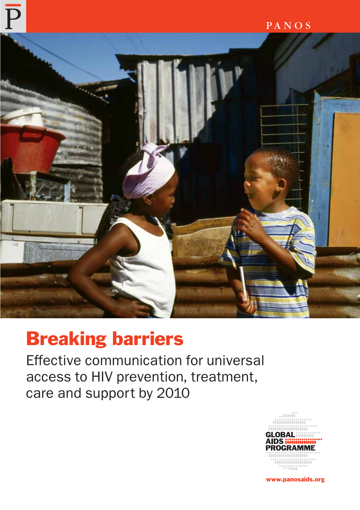

# Breaking barriers

Effective communication for universal access to HIV prevention, treatment, care and support by 2010



www.panosaids.org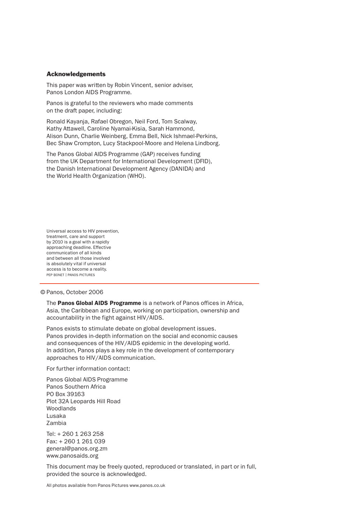#### Acknowledgements

This paper was written by Robin Vincent, senior adviser, Panos London AIDS Programme.

Panos is grateful to the reviewers who made comments on the draft paper, including:

Ronald Kayanja, Rafael Obregon, Neil Ford, Tom Scalway, Kathy Attawell, Caroline Nyamai-Kisia, Sarah Hammond, Alison Dunn, Charlie Weinberg, Emma Bell, Nick Ishmael-Perkins, Bec Shaw Crompton, Lucy Stackpool-Moore and Helena Lindborg.

The Panos Global AIDS Programme (GAP) receives funding from the UK Department for International Development (DFID), the Danish International Development Agency (DANIDA) and the World Health Organization (WHO).

Universal access to HIV prevention, treatment, care and support by 2010 is a goal with a rapidly approaching deadline. Effective communication of all kinds and between all those involved is absolutely vital if universal access is to become a reality. PEP BONET | PANOS PICTURES

#### © Panos, October 2006

The Panos Global AIDS Programme is a network of Panos offices in Africa, Asia, the Caribbean and Europe, working on participation, ownership and accountability in the fight against HIV/AIDS.

Panos exists to stimulate debate on global development issues. Panos provides in-depth information on the social and economic causes and consequences of the HIV/AIDS epidemic in the developing world. In addition, Panos plays a key role in the development of contemporary approaches to HIV/AIDS communication.

For further information contact:

Panos Global AIDS Programme Panos Southern Africa PO Box 39163 Plot 32A Leopards Hill Road Woodlands Lusaka Zambia

Tel: + 260 1 263 258 Fax: + 260 1 261 039 general@panos.org.zm www.panosaids.org

This document may be freely quoted, reproduced or translated, in part or in full, provided the source is acknowledged.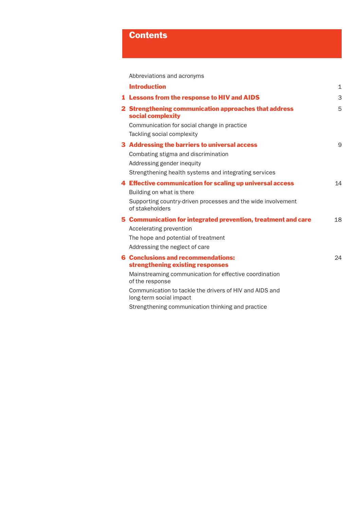# **Contents**

Abbreviations and acronyms

| <b>Introduction</b>                                                                | $\mathbf 1$ |
|------------------------------------------------------------------------------------|-------------|
| 1 Lessons from the response to HIV and AIDS                                        | 3           |
| 2 Strengthening communication approaches that address<br>social complexity         | 5           |
| Communication for social change in practice                                        |             |
| Tackling social complexity                                                         |             |
| 3 Addressing the barriers to universal access                                      | 9           |
| Combating stigma and discrimination                                                |             |
| Addressing gender inequity                                                         |             |
| Strengthening health systems and integrating services                              |             |
| 4 Effective communication for scaling up universal access                          | 14          |
| Building on what is there                                                          |             |
| Supporting country-driven processes and the wide involvement<br>of stakeholders    |             |
| 5 Communication for integrated prevention, treatment and care                      | 18          |
| Accelerating prevention                                                            |             |
| The hope and potential of treatment                                                |             |
| Addressing the neglect of care                                                     |             |
| <b>6 Conclusions and recommendations:</b>                                          | 24          |
| strengthening existing responses                                                   |             |
| Mainstreaming communication for effective coordination<br>of the response          |             |
| Communication to tackle the drivers of HIV and AIDS and<br>long-term social impact |             |
| Strengthening communication thinking and practice                                  |             |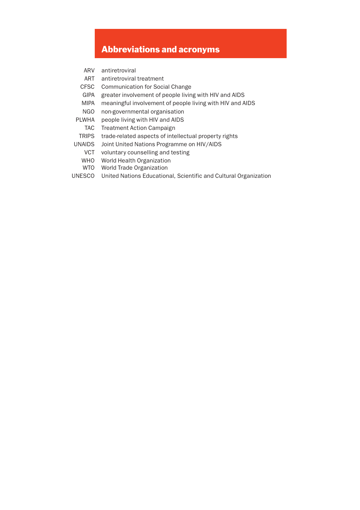## Abbreviations and acronyms

- ARV antiretroviral
- ART antiretroviral treatment
- CFSC Communication for Social Change
- GIPA greater involvement of people living with HIV and AIDS
- MIPA meaningful involvement of people living with HIV and AIDS
- NGO non-governmental organisation
- PLWHA people living with HIV and AIDS
- TAC Treatment Action Campaign
- TRIPS trade-related aspects of intellectual property rights
- UNAIDS Joint United Nations Programme on HIV/AIDS
	- VCT voluntary counselling and testing
	- WHO World Health Organization
	- WTO World Trade Organization
- UNESCO United Nations Educational, Scientific and Cultural Organization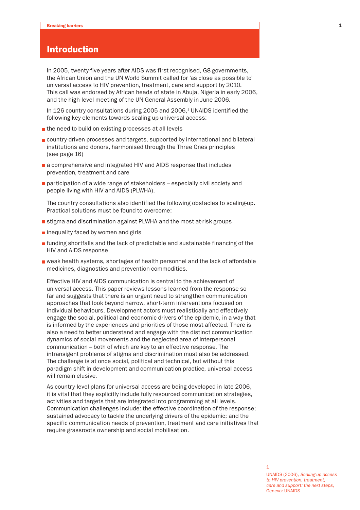## Introduction

In 2005, twenty-five years after AIDS was first recognised, G8 governments, the African Union and the UN World Summit called for 'as close as possible to' universal access to HIV prevention, treatment, care and support by 2010. This call was endorsed by African heads of state in Abuja, Nigeria in early 2006, and the high-level meeting of the UN General Assembly in June 2006.

In 126 country consultations during 2005 and 2006,<sup>1</sup> UNAIDS identified the following key elements towards scaling up universal access:

- the need to build on existing processes at all levels
- country-driven processes and targets, supported by international and bilateral institutions and donors, harmonised through the Three Ones principles (see page 16)
- a comprehensive and integrated HIV and AIDS response that includes prevention, treatment and care
- **participation of a wide range of stakeholders especially civil society and** people living with HIV and AIDS (PLWHA).

The country consultations also identified the following obstacles to scaling-up. Practical solutions must be found to overcome:

- stigma and discrimination against PLWHA and the most at-risk groups
- $\blacksquare$  inequality faced by women and girls
- $\blacksquare$  funding shortfalls and the lack of predictable and sustainable financing of the HIV and AIDS response
- weak health systems, shortages of health personnel and the lack of affordable medicines, diagnostics and prevention commodities.

Effective HIV and AIDS communication is central to the achievement of universal access. This paper reviews lessons learned from the response so far and suggests that there is an urgent need to strengthen communication approaches that look beyond narrow, short-term interventions focused on individual behaviours. Development actors must realistically and effectively engage the social, political and economic drivers of the epidemic, in a way that is informed by the experiences and priorities of those most affected. There is also a need to better understand and engage with the distinct communication dynamics of social movements and the neglected area of interpersonal communication – both of which are key to an effective response. The intransigent problems of stigma and discrimination must also be addressed. The challenge is at once social, political and technical, but without this paradigm shift in development and communication practice, universal access will remain elusive.

As country-level plans for universal access are being developed in late 2006, it is vital that they explicitly include fully resourced communication strategies, activities and targets that are integrated into programming at all levels. Communication challenges include: the effective coordination of the response; sustained advocacy to tackle the underlying drivers of the epidemic; and the specific communication needs of prevention, treatment and care initiatives that require grassroots ownership and social mobilisation.

1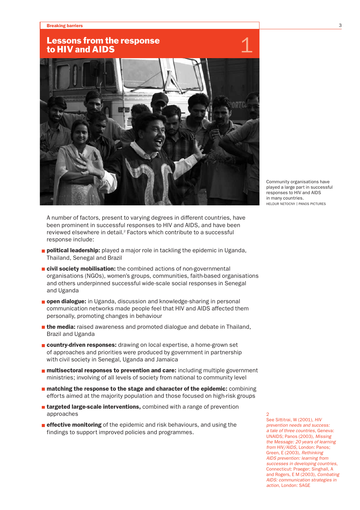## Lessons from the response to HIV and AIDS



Community organisations have played a large part in successful responses to HIV and AIDS in many countries. HELDUR NETOCNY | PANOS PICTURES

A number of factors, present to varying degrees in different countries, have been prominent in successful responses to HIV and AIDS, and have been reviewed elsewhere in detail.<sup>2</sup> Factors which contribute to a successful response include:

- **political leadership:** played a major role in tackling the epidemic in Uganda, Thailand, Senegal and Brazil
- $\blacksquare$  civil society mobilisation: the combined actions of non-governmental organisations (NGOs), women's groups, communities, faith-based organisations and others underpinned successful wide-scale social responses in Senegal and Uganda
- **pen dialogue:** in Uganda, discussion and knowledge-sharing in personal communication networks made people feel that HIV and AIDS affected them personally, promoting changes in behaviour
- **the media:** raised awareness and promoted dialogue and debate in Thailand, Brazil and Uganda
- **country-driven responses:** drawing on local expertise, a home-grown set of approaches and priorities were produced by government in partnership with civil society in Senegal, Uganda and Jamaica
- **n** multisectoral responses to prevention and care: including multiple government ministries; involving of all levels of society from national to community level
- **n** matching the response to the stage and character of the epidemic: combining efforts aimed at the majority population and those focused on high-risk groups
- **T** targeted large-scale interventions, combined with a range of prevention approaches
- **effective monitoring** of the epidemic and risk behaviours, and using the findings to support improved policies and programmes.

2 See Sittitrai, W (2001), *HIV prevention needs and success: a tale of three countries*, Geneva: UNAIDS; Panos (2003), *Missing the Message: 20 years of learning from HIV/AIDS*, London: Panos; Green, E (2003), *Rethinking AIDS prevention: learning from successes in developing countries*, Connecticut: Praeger; Singhall, A and Rogers, E M (2003), *Combating AIDS: communication strategies in action*, London: SAGE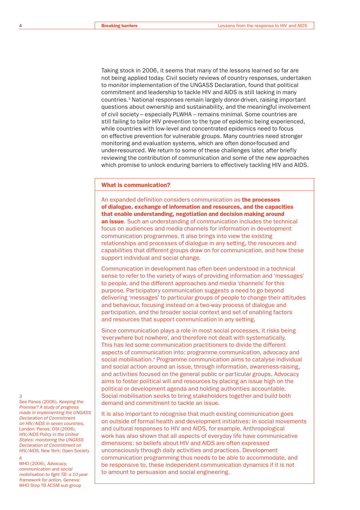Taking stock in 2006, it seems that many of the lessons learned so far are not being applied today. Civil society reviews of country responses, undertaken to monitor implementation of the UNGASS Declaration, found that political commitment and leadership to tackle HIV and AIDS is still lacking in many countries.3 National responses remain largely donor-driven, raising important questions about ownership and sustainability, and the meaningful involvement of civil society – especially PLWHA – remains minimal. Some countries are still failing to tailor HIV prevention to the type of epidemic being experienced, while countries with low-level and concentrated epidemics need to focus on effective prevention for vulnerable groups. Many countries need stronger monitoring and evaluation systems, which are often donor-focused and under-resourced. We return to some of these challenges later, after briefly reviewing the contribution of communication and some of the new approaches which promise to unlock enduring barriers to effectively tackling HIV and AIDS.

#### What is communication?

An expanded definition considers communication as the processes of dialogue, exchange of information and resources, and the capacities that enable understanding, negotiation and decision making around an issue. Such an understanding of communication includes the technical focus on audiences and media channels for information in development communication programmes. It also brings into view the existing relationships and processes of dialogue in any setting, the resources and capabilities that different groups draw on for communication, and how these support individual and social change.

Communication in development has often been understood in a technical sense to refer to the variety of ways of providing information and 'messages' to people, and the different approaches and media 'channels' for this purpose. Participatory communication suggests a need to go beyond delivering 'messages' to particular groups of people to change their attitudes and behaviour, focusing instead on a two-way process of dialogue and participation, and the broader social context and set of enabling factors and resources that support communication in any setting.

Since communication plays a role in most social processes, it risks being 'everywhere but nowhere', and therefore not dealt with systematically. This has led some communication practitioners to divide the different aspects of communication into: programme communication, advocacy and social mobilisation.4 Programme communication aims to catalyse individual and social action around an issue, through information, awareness-raising, and activities focused on the general public or particular groups. Advocacy aims to foster political will and resources by placing an issue high on the political or development agenda and holding authorities accountable. Social mobilisation seeks to bring stakeholders together and build both demand and commitment to tackle an issue.

It is also important to recognise that much existing communication goes on outside of formal health and development initiatives: in social movements and cultural responses to HIV and AIDS, for example. Anthropological work has also shown that all aspects of everyday life have communicative dimensions: so beliefs about HIV and AIDS are often expressed unconsciously through daily activities and practices. Development communication programming thus needs to be able to accommodate, and be responsive to, these independent communication dynamics if it is not to amount to persuasion and social engineering.

#### 3

See Panos (2006), *Keeping the Promise? A study of progress made in implementing the UNGASS Declaration of Commitment on HIV/AIDS in seven countries*, London: Panos; OSI (2006), *HIV/AIDS Policy in the United States: monitoring the UNGASS Declaration of Commitment on HIV/AIDS*, New York: Open Society 4

#### WHO (2006), *Advocacy, communication and social mobilisation to fight TB: a 10 year framework for action*, Geneva: WHO Stop TB ACSM sub group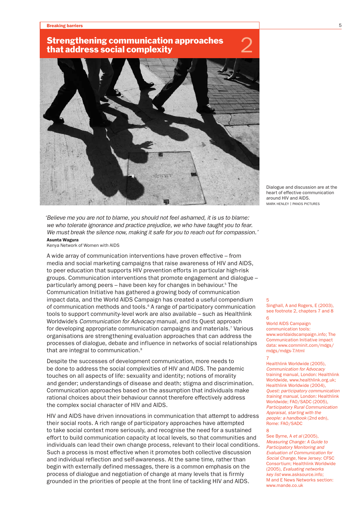#### **Breaking barriers 5** to the control of the control of the control of the control of the control of the control of the control of the control of the control of the control of the control of the control of the control of th

# Strengthening communication approaches 2<br>that address social complexity



Dialogue and discussion are at the heart of effective communication around HIV and AIDS. MARK HENLEY | PANOS PICTURES

*'Believe me you are not to blame, you should not feel ashamed, it is us to blame: we who tolerate ignorance and practice prejudice, we who have taught you to fear. We must break the silence now, making it safe for you to reach out for compassion.'* Asunta Wagura

Kenya Network of Women with AIDS

A wide array of communication interventions have proven effective – from media and social marketing campaigns that raise awareness of HIV and AIDS, to peer education that supports HIV prevention efforts in particular high-risk groups. Communication interventions that promote engagement and dialogue – particularly among peers – have been key for changes in behaviour.<sup>5</sup> The Communication Initiative has gathered a growing body of communication impact data, and the World AIDS Campaign has created a useful compendium of communication methods and tools.<sup>6</sup> A range of participatory communication tools to support community-level work are also available – such as Healthlink Worldwide's *Communication for Advocacy* manual, and its Quest approach for developing appropriate communication campaigns and materials.<sup>7</sup> Various organisations are strengthening evaluation approaches that can address the processes of dialogue, debate and influence in networks of social relationships that are integral to communication.<sup>8</sup>

Despite the successes of development communication, more needs to be done to address the social complexities of HIV and AIDS. The pandemic touches on all aspects of life: sexuality and identity; notions of morality and gender; understandings of disease and death; stigma and discrimination. Communication approaches based on the assumption that individuals make rational choices about their behaviour cannot therefore effectively address the complex social character of HIV and AIDS.

HIV and AIDS have driven innovations in communication that attempt to address their social roots. A rich range of participatory approaches have attempted to take social context more seriously, and recognise the need for a sustained effort to build communication capacity at local levels, so that communities and individuals can lead their own change process, relevant to their local conditions. Such a process is most effective when it promotes both collective discussion and individual reflection and self-awareness. At the same time, rather than begin with externally defined messages, there is a common emphasis on the process of dialogue and negotiation of change at many levels that is firmly grounded in the priorities of people at the front line of tackling HIV and AIDS.

5 Singhall, A and Rogers, E (2003), see footnote 2, chapters 7 and 8

#### $6$ World AIDS Campaign communication tools: www.worldaidscampaign.info; The

Communication Initiative impact data: www.comminit.com/mdgs/ mdgs/mdgs-7.html

#### 7 Healthlink Worldwide (2005), *Communication for Advocacy* training manual, London: Healthlink Worldwide, www.healthlink.org.uk; Healthlink Worldwide (2004), *Quest: participatory communication training manual*, London: Healthlink Worldwide; FAO/SADC (2005), *Participatory Rural Communication Appraisal, starting with the people: a handbook* (2nd edn), Rome: FAO/SADC

See Byrne, A *et al* (2005), *Measuring Change: A Guide to Participatory Monitoring and Evaluation of Communication for Social Change*, New Jersey: CFSC Consortium; Healthlink Worldwide (2005), *Evaluating networks key list* www.asksource.info; M and E News Networks section: www.mande.co.uk

8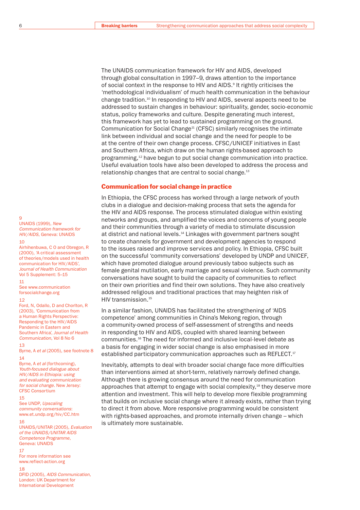The UNAIDS communication framework for HIV and AIDS, developed through global consultation in 1997–9, draws attention to the importance of social context in the response to HIV and AIDS.<sup>9</sup> It rightly criticises the 'methodological individualism' of much health communication in the behaviour change tradition.10 In responding to HIV and AIDS, several aspects need to be addressed to sustain changes in behaviour: spirituality, gender, socio-economic status, policy frameworks and culture. Despite generating much interest, this framework has yet to lead to sustained programming on the ground. Communication for Social Change<sup>11</sup> (CFSC) similarly recognises the intimate link between individual and social change and the need for people to be at the centre of their own change process. CFSC/UNICEF initiatives in East and Southern Africa, which draw on the human rights-based approach to programming,12 have begun to put social change communication into practice. Useful evaluation tools have also been developed to address the process and relationship changes that are central to social change.<sup>13</sup>

#### Communication for social change in practice

In Ethiopia, the CFSC process has worked through a large network of youth clubs in a dialogue and decision-making process that sets the agenda for the HIV and AIDS response. The process stimulated dialogue within existing networks and groups, and amplified the voices and concerns of young people and their communities through a variety of media to stimulate discussion at district and national levels.<sup>14</sup> Linkages with government partners sought to create channels for government and development agencies to respond to the issues raised and improve services and policy. In Ethiopia, CFSC built on the successful 'community conversations' developed by UNDP and UNICEF, which have promoted dialogue around previously taboo subjects such as female genital mutilation, early marriage and sexual violence. Such community conversations have sought to build the capacity of communities to reflect on their own priorities and find their own solutions. They have also creatively addressed religious and traditional practices that may heighten risk of HIV transmission.15

In a similar fashion, UNAIDS has facilitated the strengthening of 'AIDS competence' among communities in China's Mekong region, through a community-owned process of self-assessment of strengths and needs in responding to HIV and AIDS, coupled with shared learning between communities.16 The need for informed and inclusive local-level debate as a basis for engaging in wider social change is also emphasised in more established participatory communication approaches such as REFLECT.<sup>17</sup>

Inevitably, attempts to deal with broader social change face more difficulties than interventions aimed at short-term, relatively narrowly defined change. Although there is growing consensus around the need for communication approaches that attempt to engage with social complexity,<sup>18</sup> they deserve more attention and investment. This will help to develop more flexible programming that builds on inclusive social change where it already exists, rather than trying to direct it from above. More responsive programming would be consistent with rights-based approaches, and promote internally driven change – which is ultimately more sustainable.

#### $\alpha$

UNAIDS (1999), *New Communication framework for HIV/AIDS*, Geneva: UNAIDS 10

Airhihenbuwa, C O and Obregon, R (2000), 'A critical assessment of theories/models used in health communication for HIV/AIDS', *Journal of Health Communication* Vol 5 Supplement: 5–15

#### 11

See www.communication forsocialchange.org 12

Ford, N, Odallo, D and Chorlton, R (2003), 'Communication from a Human Rights Perspective: Responding to the HIV/AIDS Pandemic in Eastern and Southern Africa', *Journal of Health Communication*, Vol 8 No 6

#### 13

Byrne, A *et al* (2005), see footnote 8 14

Byrne, A *et al* (forthcoming), *Youth-focused dialogue about HIV/AIDS in Ethiopia: using and evaluating communication for social change*. New Jersey: CFSC Consortium

#### 15

See UNDP, *Upscaling community conversations*: www.et.undp.org/hiv/CC.htm 16

UNAIDS/UNITAR (2005), *Evaluation of the UNAIDS/UNITAR AIDS Competence Programme*, Geneva: UNAIDS

#### 17

For more information see www.reflect-action.org

#### 18

DFID (2005), *AIDS Communication*, London: UK Department for International Development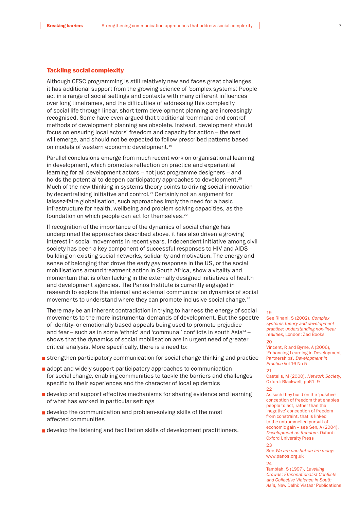#### Tackling social complexity

Although CFSC programming is still relatively new and faces great challenges, it has additional support from the growing science of 'complex systems'. People act in a range of social settings and contexts with many different influences over long timeframes, and the difficulties of addressing this complexity of social life through linear, short-term development planning are increasingly recognised. Some have even argued that traditional 'command and control' methods of development planning are obsolete. Instead, development should focus on ensuring local actors' freedom and capacity for action – the rest will emerge, and should not be expected to follow prescribed patterns based on models of western economic development.<sup>19</sup>

Parallel conclusions emerge from much recent work on organisational learning in development, which promotes reflection on practice and experiential learning for all development actors – not just programme designers – and holds the potential to deepen participatory approaches to development.<sup>20</sup> Much of the new thinking in systems theory points to driving social innovation by decentralising initiative and control.<sup>21</sup> Certainly not an argument for laissez-faire globalisation, such approaches imply the need for a basic infrastructure for health, wellbeing and problem-solving capacities, as the foundation on which people can act for themselves.<sup>22</sup>

If recognition of the importance of the dynamics of social change has underpinned the approaches described above, it has also driven a growing interest in social movements in recent years. Independent initiative among civil society has been a key component of successful responses to HIV and AIDS – building on existing social networks, solidarity and motivation. The energy and sense of belonging that drove the early gay response in the US, or the social mobilisations around treatment action in South Africa, show a vitality and momentum that is often lacking in the externally designed initiatives of health and development agencies. The Panos Institute is currently engaged in research to explore the internal and external communication dynamics of social movements to understand where they can promote inclusive social change.<sup>23</sup>

There may be an inherent contradiction in trying to harness the energy of social movements to the more instrumental demands of development. But the spectre of identity- or emotionally based appeals being used to promote prejudice and fear – such as in some 'ethnic' and 'communal' conflicts in south Asia<sup>24</sup> – shows that the dynamics of social mobilisation are in urgent need of greater critical analysis. More specifically, there is a need to:

- **strengthen participatory communication for social change thinking and practice**
- adopt and widely support participatory approaches to communication for social change, enabling communities to tackle the barriers and challenges specific to their experiences and the character of local epidemics
- **d** develop and support effective mechanisms for sharing evidence and learning of what has worked in particular settings
- develop the communication and problem-solving skills of the most affected communities
- **d** develop the listening and facilitation skills of development practitioners.

#### 19

See Rihani, S (2002), *Complex systems theory and development practice: understanding non-linear realities*, London: Zed Books 20

## Vincent, R and Byrne, A (2006), 'Enhancing Learning in Development

Partnerships', *Development in Practice* Vol 16 No 5

## 21

Castells, M (2000), *Network Society*, Oxford: Blackwell, pp61–9

#### 22

As such they build on the 'positive' conception of freedom that enables people to act, rather than the 'negative' conception of freedom from constraint, that is linked to the untrammelled pursuit of economic gain – see Sen, A (2004), *Development as freedom*, Oxford: Oxford University Press

23

See *We are one but we are many*: www.panos.org.uk

 $24$ Tambiah, S (1997), *Levelling Crowds: Ethnonationalist Conflicts and Collective Violence in South Asia*, New Delhi: Vistaar Publications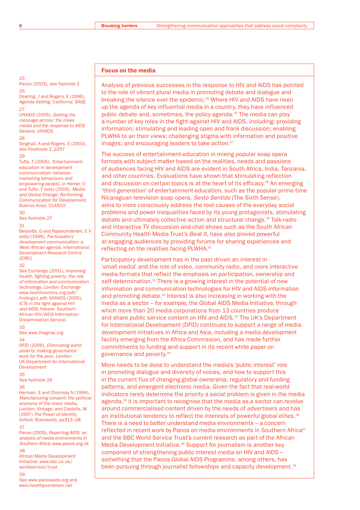#### Focus on the media

25 Panos (2003), see footnote 2 26

Dearing, J and Rogers, E (1996), *Agenda Setting*, California: SAGE 27

#### UNAIDS (2005), *Getting the*

*message across: the mass media and the response to AIDS* Geneva: UNAIDS  $28$ 

Singhall, A and Rogers, E (2003), see foootnote 2, p297

#### 29

Tufte, T (2005), 'Entertainmenteducation in development communication: between marketing behaviours and empowering people', in Hemer, O and Tufte, T (eds) (2005), *Media and Global Change: Re-thinking Communication for Development*, Buenos Aires: CLASCO

#### 30

See footnote 27

#### 31

Bessette, G and Rajasumderam, C V (eds) (1996), *Participatory development communication: a West African agenda*, International Development Research Centre (IDRC)

#### 32

See Exchange (2001), *Improving health, fighting poverty: the role of information and communication technology*, London: Exchange www.healthcomms.org/pdf/ findings1.pdf; SAfAIDS (2005). *ICTs in the fight against HIV and AIDS*, Harare: Southern African HIV/AIDS Information Dissemination Service.

#### 33

See www.thegmai.org 34

DFID (2006), *Eliminating world poverty: making governance work for the poor*, London: UK Department for International Development

35

See footnote 26

#### 36

Herman, S and Chomsky N (1994), *Manufacturing consent: the political economy of the mass media*, London: Vintage; and Castells, M (1997) *The Power of Identity*, Oxford: Blackwells, pp313–28 37

Panos (2005), *Reporting AIDS: an analysis of media environments in Southern Africa*: www.panos.org.uk 38

African Media Development Initiative: www.bbc.co.uk/ worldservice/trust

39

See www.panosaids.org and www.healthjournalism.net

Analysis of previous successes in the response to HIV and AIDS has pointed to the role of vibrant plural media in promoting debate and dialogue and breaking the silence over the epidemic.25 Where HIV and AIDS have risen up the agenda of key influential media in a country, they have influenced public debate and, sometimes, the policy agenda.<sup>26</sup> The media can play a number of key roles in the fight against HIV and AIDS, including: providing information; stimulating and leading open and frank discussion; enabling PLWHA to air their views; challenging stigma with information and positive images; and encouraging leaders to take action.<sup>27</sup>

The success of entertainment-education in mixing popular soap opera formats with subject matter based on the realities, needs and passions of audiences facing HIV and AIDS are evident in South Africa, India, Tanzania, and other countries. Evaluations have shown that stimulating reflection and discussion on certain topics is at the heart of its efficacy.<sup>28</sup> An emerging 'third generation' of entertainment-education, such as the popular prime-time Nicaraguan television soap opera, *Sexto Sentido* (The Sixth Sense), aims to more consciously address the root causes of the everyday social problems and power inequalities faced by its young protagonists, stimulating debate and ultimately collective action and structural change.29 Talk-radio and interactive TV discussion and chat shows such as the South African Community Health Media Trust's *Beat It*, have also proved powerful at engaging audiences by providing forums for sharing experiences and reflecting on the realities facing PLWHA.30

Participatory development has in the past driven an interest in 'small media' and the role of video, community radio, and more interactive media formats that reflect the emphasis on participation, ownership and self-determination.<sup>31</sup> There is a growing interest in the potential of new information and communication technologies for HIV and AIDS information and promoting debate.<sup>32</sup> Interest is also increasing in working with the media as a sector – for example, the Global AIDS Media Initiative, through which more than 20 media corporations from 13 countries produce and share public service content on HIV and AIDS.<sup>33</sup> The UK's Department for International Development (DFID) continues to support a range of media development initiatives in Africa and Asia, including a media development facility emerging from the Africa Commission, and has made further commitments to funding and support in its recent white paper on governance and poverty.34

More needs to be done to understand the media's 'public interest' role in promoting dialogue and diversity of voices, and how to support this in the current flux of changing global ownership, regulatory and funding patterns, and emergent electronic media. Given the fact that real-world indicators rarely determine the priority a social problem is given in the media agenda,35 it is important to recognise that the media as a sector can revolve around commercialised content driven by the needs of advertisers and has an institutional tendency to reflect the interests of powerful global elites.<sup>36</sup> There is a need to better understand media environments – a concern reflected in recent work by Panos on media environments in Southern Africa<sup>37</sup> and the BBC World Service Trust's current research as part of the African Media Development Initiative.<sup>38</sup> Support for journalism is another key component of strengthening public interest media on HIV and AIDS – something that the Panos Global AIDS Programme, among others, has been pursuing through journalist fellowships and capacity development.<sup>39</sup>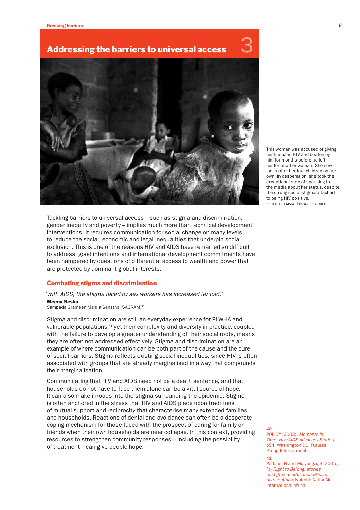## Addressing the barriers to universal access 3



Tackling barriers to universal access – such as stigma and discrimination, gender inequity and poverty – implies much more than technical development interventions. It requires communication for social change on many levels, to reduce the social, economic and legal inequalities that underpin social exclusion. This is one of the reasons HIV and AIDS have remained so difficult to address: good intentions and international development commitments have been hampered by questions of differential access to wealth and power that are protected by dominant global interests.

#### Combating stigma and discrimination

*'With AIDS, the stigma faced by sex workers has increased tenfold.'*  Meena Seshu

Sampada Grameen Mahila Sanstha (SAGRAM)40

Stigma and discrimination are still an everyday experience for PLWHA and vulnerable populations,<sup>41</sup> yet their complexity and diversity in practice, coupled with the failure to develop a greater understanding of their social roots, means they are often not addressed effectively. Stigma and discrimination are an example of where communication can be both part of the cause and the cure of social barriers. Stigma reflects existing social inequalities, since HIV is often associated with groups that are already marginalised in a way that compounds their marginalisation.

Communicating that HIV and AIDS need not be a death sentence, and that households do not have to face them alone can be a vital source of hope. It can also make inroads into the stigma surrounding the epidemic. Stigma is often anchored in the stress that HIV and AIDS place upon traditions of mutual support and reciprocity that characterise many extended families and households. Reactions of denial and avoidance can often be a desperate coping mechanism for those faced with the prospect of caring for family or friends when their own households are near collapse. In this context, providing resources to strengthen community responses – including the possibility of treatment – can give people hope.

This woman was accused of giving her husband HIV and beaten by him for months before he left her for another woman. She now looks after her four children on her own. In desperation, she took the exceptional step of speaking to the media about her status, despite the strong social stigma attached to being HIV positive. DIETER TELEMANS | PANOS PICTURES

 $40$ 

POLICY (2003), *Moments in Time: HIV/AIDS Advocacy Stories*, p54, Washington DC: Futures Group International

Perkins, N and Mulyanga, S (2005), *My Right to Belong: stories of stigma re-education efforts across Africa*, Nairobi: ActionAid International Africa

<sup>41</sup>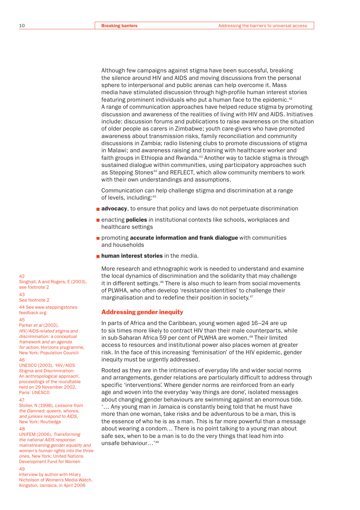Although few campaigns against stigma have been successful, breaking the silence around HIV and AIDS and moving discussions from the personal sphere to interpersonal and public arenas can help overcome it. Mass media have stimulated discussion through high-profile human interest stories featuring prominent individuals who put a human face to the epidemic.42 A range of communication approaches have helped reduce stigma by promoting discussion and awareness of the realities of living with HIV and AIDS. Initiatives include: discussion forums and publications to raise awareness on the situation of older people as carers in Zimbabwe; youth care-givers who have promoted awareness about transmission risks, family reconciliation and community discussions in Zambia; radio listening clubs to promote discussions of stigma in Malawi; and awareness raising and training with healthcare worker and faith groups in Ethiopia and Rwanda.<sup>43</sup> Another way to tackle stigma is through sustained dialogue within communities, using participatory approaches such as Stepping Stones<sup>44</sup> and REFLECT, which allow community members to work with their own understandings and assumptions.

Communication can help challenge stigma and discrimination at a range of levels, including:45

- **advocacy**, to ensure that policy and laws do not perpetuate discrimination
- **Example 2** enacting **policies** in institutional contexts like schools, workplaces and healthcare settings
- $\blacksquare$  promoting **accurate information and frank dialogue** with communities and households
- **human interest stories** in the media

More research and ethnographic work is needed to understand and examine the local dynamics of discrimination and the solidarity that may challenge it in different settings.46 There is also much to learn from social movements of PLWHA, who often develop 'resistance identities' to challenge their marginalisation and to redefine their position in society.<sup>47</sup>

#### Addressing gender inequity

In parts of Africa and the Caribbean, young women aged 16–24 are up to six times more likely to contract HIV than their male counterparts, while in sub-Saharan Africa 59 per cent of PLWHA are women.<sup>48</sup> Their limited access to resources and institutional power also places women at greater risk. In the face of this increasing 'feminisation' of the HIV epidemic, gender inequity must be urgently addressed.

Rooted as they are in the intimacies of everyday life and wider social norms and arrangements, gender relations are particularly difficult to address through specific 'interventions'. Where gender norms are reinforced from an early age and woven into the everyday 'way things are done', isolated messages about changing gender behaviours are swimming against an enormous tide. '… Any young man in Jamaica is constantly being told that he must have more than one woman, take risks and be adventurous to be a man, this is the essence of who he is as a man. This is far more powerful than a message about wearing a condom… There is no point talking to a young man about safe sex, when to be a man is to do the very things that lead him into unsafe behaviour…'49

 $42$ 

Singhall, A and Rogers, E (2003), see footnote 2 43

See footnote 2

44 See www.steppingstones feedback.org

#### 45

Parker *et al* (2002), *HIV/AIDS-related stigma and discrimination: a conceptual framework and an agenda for action*, Horizons programme, New York: Population Council 46

UNESCO (2003), 'HIV/AIDS Stigma and Discrimination: An anthropological approach', proceedings of the roundtable held on 29 November 2002, Paris: UNESCO

#### 47

Stoller, N (1998), *Lessons from the Damned: queers, whores, and junkies respond to AIDS*, New York: Routledge

#### 48

UNIFEM (2006), *Transforming the national AIDS response: mainstreaming gender equality and women's human rights into the three ones*, New York: United Nations Development Fund for Women

49

Interview by author with Hilary Nicholson of Women's Media Watch, Kingston, Jamaica, in April 2006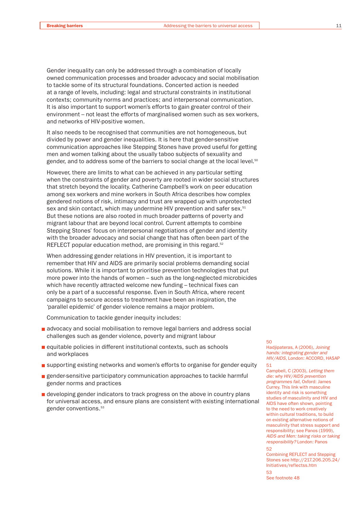Gender inequality can only be addressed through a combination of locally owned communication processes and broader advocacy and social mobilisation to tackle some of its structural foundations. Concerted action is needed at a range of levels, including: legal and structural constraints in institutional contexts; community norms and practices; and interpersonal communication. It is also important to support women's efforts to gain greater control of their environment – not least the efforts of marginalised women such as sex workers, and networks of HIV-positive women.

It also needs to be recognised that communities are not homogeneous, but divided by power and gender inequalities. It is here that gender-sensitive communication approaches like Stepping Stones have proved useful for getting men and women talking about the usually taboo subjects of sexuality and gender, and to address some of the barriers to social change at the local level.<sup>50</sup>

However, there are limits to what can be achieved in any particular setting when the constraints of gender and poverty are rooted in wider social structures that stretch beyond the locality. Catherine Campbell's work on peer education among sex workers and mine workers in South Africa describes how complex gendered notions of risk, intimacy and trust are wrapped up with unprotected sex and skin contact, which may undermine HIV prevention and safer sex.<sup>51</sup> But these notions are also rooted in much broader patterns of poverty and migrant labour that are beyond local control. Current attempts to combine Stepping Stones' focus on interpersonal negotiations of gender and identity with the broader advocacy and social change that has often been part of the REFLECT popular education method, are promising in this regard.<sup>52</sup>

When addressing gender relations in HIV prevention, it is important to remember that HIV and AIDS are primarily social problems demanding social solutions. While it is important to prioritise prevention technologies that put more power into the hands of women – such as the long-neglected microbicides which have recently attracted welcome new funding – technical fixes can only be a part of a successful response. Even in South Africa, where recent campaigns to secure access to treatment have been an inspiration, the 'parallel epidemic' of gender violence remains a major problem.

Communication to tackle gender inequity includes:

- **a** advocacy and social mobilisation to remove legal barriers and address social challenges such as gender violence, poverty and migrant labour
- equitable policies in different institutional contexts, such as schools and workplaces
- **EX SUPPORT EXECTS AND THE EXECTS LIGHTER IS UPPORT OF SUPPORT AND REPAREMENT CONTROLLY ASSESS**
- **gender-sensitive participatory communication approaches to tackle harmful** gender norms and practices
- **d** developing gender indicators to track progress on the above in country plans for universal access, and ensure plans are consistent with existing international gender conventions.53

#### 50

Hadjipateras, A (2006), *Joining hands: integrating gender and HIV/AIDS*, London: ACCORD, HASAP 51

Campbell, C (2003), *Letting them die: why HIV/AIDS prevention programmes fail*, Oxford: James Currey. This link with masculine identity and risk is something studies of masculinity and HIV and AIDS have often shown, pointing to the need to work creatively within cultural traditions, to build on existing alternative notions of masculinity that stress support and responsibility; see Panos (1999), *AIDS and Men: taking risks or taking responsibility?* London: Panos 52

Combining REFLECT and Stepping Stones see http://217.206.205.24/ Initiatives/reflectss.htm 53

See footnote 48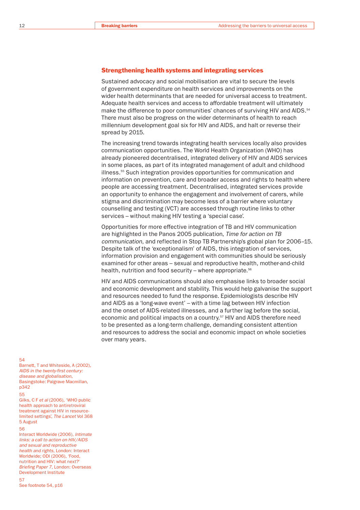#### Strengthening health systems and integrating services

Sustained advocacy and social mobilisation are vital to secure the levels of government expenditure on health services and improvements on the wider health determinants that are needed for universal access to treatment. Adequate health services and access to affordable treatment will ultimately make the difference to poor communities' chances of surviving HIV and AIDS.<sup>54</sup> There must also be progress on the wider determinants of health to reach millennium development goal six for HIV and AIDS, and halt or reverse their spread by 2015.

The increasing trend towards integrating health services locally also provides communication opportunities. The World Health Organization (WHO) has already pioneered decentralised, integrated delivery of HIV and AIDS services in some places, as part of its integrated management of adult and childhood illness.<sup>55</sup> Such integration provides opportunities for communication and information on prevention, care and broader access and rights to health where people are accessing treatment. Decentralised, integrated services provide an opportunity to enhance the engagement and involvement of carers, while stigma and discrimination may become less of a barrier where voluntary counselling and testing (VCT) are accessed through routine links to other services – without making HIV testing a 'special case'.

Opportunities for more effective integration of TB and HIV communication are highlighted in the Panos 2005 publication, *Time for action on TB communication*, and reflected in Stop TB Partnership's global plan for 2006–15. Despite talk of the 'exceptionalism' of AIDS, this integration of services, information provision and engagement with communities should be seriously examined for other areas – sexual and reproductive health, mother-and-child health, nutrition and food security - where appropriate.<sup>56</sup>

HIV and AIDS communications should also emphasise links to broader social and economic development and stability. This would help galvanise the support and resources needed to fund the response. Epidemiologists describe HIV and AIDS as a 'long-wave event' – with a time lag between HIV infection and the onset of AIDS-related illnesses, and a further lag before the social, economic and political impacts on a country.<sup>57</sup> HIV and AIDS therefore need to be presented as a long-term challenge, demanding consistent attention and resources to address the social and economic impact on whole societies over many years.

#### 54

Barnett, T and Whiteside, A (2002), *AIDS in the twenty-first century: disease and globalisation*, Basingstoke: Palgrave Macmillan, p342

55

Gilks, C F *et al* (2006), 'WHO public health approach to antiretroviral treatment against HIV in resourcelimited settings', *The Lancet* Vol 368 5 August

#### 56

Interact Worldwide (2006), *Intimate links: a call to action on HIV/AIDS and sexual and reproductive health and rights*, London: Interact Worldwide; ODI (2006), 'Food, nutrition and HIV: what next?' *Briefing Paper 7*, London: Overseas Development Institute 57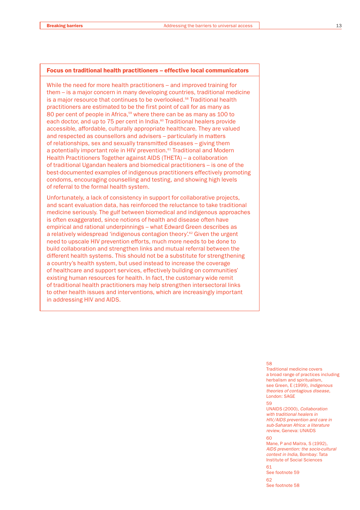#### Focus on traditional health practitioners – effective local communicators

While the need for more health practitioners – and improved training for them – is a major concern in many developing countries, traditional medicine is a major resource that continues to be overlooked.58 Traditional health practitioners are estimated to be the first point of call for as many as 80 per cent of people in Africa,<sup>59</sup> where there can be as many as 100 to each doctor, and up to 75 per cent in India.<sup>60</sup> Traditional healers provide accessible, affordable, culturally appropriate healthcare. They are valued and respected as counsellors and advisers – particularly in matters of relationships, sex and sexually transmitted diseases – giving them a potentially important role in HIV prevention.<sup>61</sup> Traditional and Modern Health Practitioners Together against AIDS (THETA) – a collaboration of traditional Ugandan healers and biomedical practitioners – is one of the best-documented examples of indigenous practitioners effectively promoting condoms, encouraging counselling and testing, and showing high levels of referral to the formal health system.

Unfortunately, a lack of consistency in support for collaborative projects, and scant evaluation data, has reinforced the reluctance to take traditional medicine seriously. The gulf between biomedical and indigenous approaches is often exaggerated, since notions of health and disease often have empirical and rational underpinnings – what Edward Green describes as a relatively widespread 'indigenous contagion theory'.<sup>62</sup> Given the urgent need to upscale HIV prevention efforts, much more needs to be done to build collaboration and strengthen links and mutual referral between the different health systems. This should not be a substitute for strengthening a country's health system, but used instead to increase the coverage of healthcare and support services, effectively building on communities' existing human resources for health. In fact, the customary wide remit of traditional health practitioners may help strengthen intersectoral links to other health issues and interventions, which are increasingly important in addressing HIV and AIDS.

58

Traditional medicine covers a broad range of practices including herbalism and spiritualism. see Green, E (1999), *Indigenous theories of contagious disease*, London: SAGE

#### $50$

UNAIDS (2000), *Collaboration with traditional healers in HIV/AIDS prevention and care in sub-Saharan Africa: a literature review*, Geneva: UNAIDS

#### $60$

Mane, P and Maitra, S (1992), *AIDS prevention: the socio-cultural context in India*, Bombay: Tata Institute of Social Sciences

61 See footnote 59  $62$ See footnote 58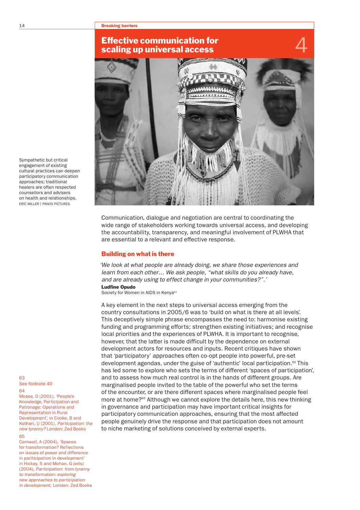## Effective communication for scaling up universal access



Communication, dialogue and negotiation are central to coordinating the wide range of stakeholders working towards universal access, and developing the accountability, transparency, and meaningful involvement of PLWHA that are essential to a relevant and effective response.

#### Building on what is there

*'We look at what people are already doing, we share those experiences and learn from each other… We ask people, "what skills do you already have, and are already using to effect change in your communities?".'*

Ludfine Opudo Society for Women in AIDS in Kenya<sup>63</sup>

A key element in the next steps to universal access emerging from the country consultations in 2005/6 was to 'build on what is there at all levels'. This deceptively simple phrase encompasses the need to: harmonise existing funding and programming efforts; strengthen existing initiatives; and recognise local priorities and the experiences of PLWHA. It is important to recognise, however, that the latter is made difficult by the dependence on external development actors for resources and inputs. Recent critiques have shown that 'participatory' approaches often co-opt people into powerful, pre-set development agendas, under the guise of 'authentic' local participation.<sup>64</sup> This has led some to explore who sets the terms of different 'spaces of participation', and to assess how much real control is in the hands of different groups. Are marginalised people invited to the table of the powerful who set the terms of the encounter, or are there different spaces where marginalised people feel more at home?<sup>65</sup> Although we cannot explore the details here, this new thinking in governance and participation may have important critical insights for participatory communication approaches, ensuring that the most affected people genuinely drive the response and that participation does not amount to niche marketing of solutions conceived by external experts.

Sympathetic but critical engagement of existing cultural practices can deepen participatory communication approaches; traditional healers are often respected counsellors and advisers on health and relationships. ERIC MILLER | PANOS PICTURES

63 See footnote 40  $64$ 

Mosse, D (2001), 'People's Knowledge, Participation and Patronage: Operations and Representation in Rural Development', in Cooke, B and Kothari, U (2001), *Participation: the new tyranny?* London: Zed Books  $65$ 

Cornwall, A (2004), 'Spaces for transformation? Reflections on issues of power and difference in pariticipation in development' in Hickey, S and Mohan, G (eds) (2004), *Participation: from tyranny to transformation: exploring new approaches to participation in development*, London: Zed Books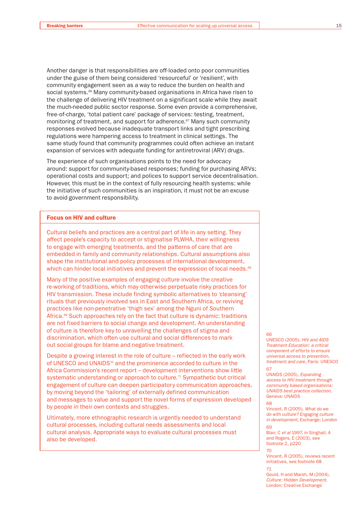Another danger is that responsibilities are off-loaded onto poor communities under the guise of them being considered 'resourceful' or 'resilient', with community engagement seen as a way to reduce the burden on health and social systems.<sup>66</sup> Many community-based organisations in Africa have risen to the challenge of delivering HIV treatment on a significant scale while they await the much-needed public sector response. Some even provide a comprehensive, free-of-charge, 'total patient care' package of services: testing, treatment, monitoring of treatment, and support for adherence.<sup>67</sup> Many such community responses evolved because inadequate transport links and tight prescribing regulations were hampering access to treatment in clinical settings. The same study found that community programmes could often achieve an instant expansion of services with adequate funding for antiretroviral (ARV) drugs.

The experience of such organisations points to the need for advocacy around: support for community-based responses; funding for purchasing ARVs; operational costs and support; and polices to support service decentralisation. However, this must be in the context of fully resourcing health systems: while the initiative of such communities is an inspiration, it must not be an excuse to avoid government responsibility.

#### Focus on HIV and culture

Cultural beliefs and practices are a central part of life in any setting. They affect people's capacity to accept or stigmatise PLWHA, their willingness to engage with emerging treatments, and the patterns of care that are embedded in family and community relationships. Cultural assumptions also shape the institutional and policy processes of international development, which can hinder local initiatives and prevent the expression of local needs.<sup>68</sup>

Many of the positive examples of engaging culture involve the creative re-working of traditions, which may otherwise perpetuate risky practices for HIV transmission. These include finding symbolic alternatives to 'cleansing' rituals that previously involved sex in East and Southern Africa, or reviving practices like non-penetrative 'thigh sex' among the Nguni of Southern Africa.<sup>69</sup> Such approaches rely on the fact that culture is dynamic: traditions are not fixed barriers to social change and development. An understanding of culture is therefore key to unravelling the challenges of stigma and discrimination, which often use cultural and social differences to mark out social groups for blame and negative treatment.

Despite a growing interest in the role of culture – reflected in the early work of UNESCO and UNAIDS<sup>70</sup> and the prominence accorded to culture in the Africa Commission's recent report – development interventions show little systematic understanding or approach to culture.<sup>71</sup> Sympathetic but critical engagement of culture can deepen participatory communication approaches, by moving beyond the 'tailoring' of externally defined communication and messages to value and support the novel forms of expression developed by people in their own contexts and struggles.

Ultimately, more ethnographic research is urgently needed to understand cultural processes, including cultural needs assessments and local cultural analysis. Appropriate ways to evaluate cultural processes must also be developed.

#### 66

UNESCO (2005), *HIV and AIDS Treatment Education: a critical component of efforts to ensure universal access to prevention, treatment and care*, Paris: UNESCO 67

UNAIDS (2005), *Expanding access to HIV treatment through community based organisations: UNAIDS best practice collection*, Geneva: UNAIDS

#### 68

Vincent, R (2005), *What do we do with culture? Engaging culture in development*, Exchange: London 69

Blair, C *et al* 1997, in Singhall, A and Rogers, E (2003), see footnote 2, p220

#### 70

Vincent, R (2005), reviews recent initiatives, see footnote 68

71 Gould, H and Marsh, M (2004), *Culture: Hidden Development*, London: Creative Exchange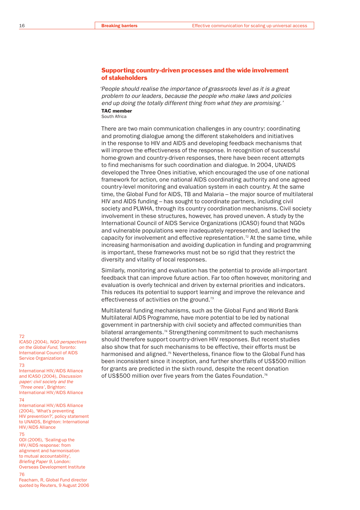#### Supporting country-driven processes and the wide involvement of stakeholders

*'People should realise the importance of grassroots level as it is a great problem to our leaders, because the people who make laws and policies end up doing the totally different thing from what they are promising.'* TAC member

South Africa

There are two main communication challenges in any country: coordinating and promoting dialogue among the different stakeholders and initiatives in the response to HIV and AIDS and developing feedback mechanisms that will improve the effectiveness of the response. In recognition of successful home-grown and country-driven responses, there have been recent attempts to find mechanisms for such coordination and dialogue. In 2004, UNAIDS developed the Three Ones initiative, which encouraged the use of one national framework for action, one national AIDS coordinating authority and one agreed country-level monitoring and evaluation system in each country. At the same time, the Global Fund for AIDS, TB and Malaria – the major source of multilateral HIV and AIDS funding – has sought to coordinate partners, including civil society and PLWHA, through its country coordination mechanisms. Civil society involvement in these structures, however, has proved uneven. A study by the International Council of AIDS Service Organizations (ICASO) found that NGOs and vulnerable populations were inadequately represented, and lacked the capacity for involvement and effective representation.<sup>72</sup> At the same time, while increasing harmonisation and avoiding duplication in funding and programming is important, these frameworks must not be so rigid that they restrict the diversity and vitality of local responses.

Similarly, monitoring and evaluation has the potential to provide all-important feedback that can improve future action. Far too often however, monitoring and evaluation is overly technical and driven by external priorities and indicators. This reduces its potential to support learning and improve the relevance and effectiveness of activities on the ground.<sup>73</sup>

Multilateral funding mechanisms, such as the Global Fund and World Bank Multilateral AIDS Programme, have more potential to be led by national government in partnership with civil society and affected communities than bilateral arrangements.<sup>74</sup> Strengthening commitment to such mechanisms should therefore support country-driven HIV responses. But recent studies also show that for such mechanisms to be effective, their efforts must be harmonised and aligned.<sup>75</sup> Nevertheless, finance flow to the Global Fund has been inconsistent since it inception, and further shortfalls of US\$500 million for grants are predicted in the sixth round, despite the recent donation of US\$500 million over five years from the Gates Foundation.<sup>76</sup>

#### 72

ICASO (2004), *NGO perspectives on the Global Fund,* Toronto: International Council of AIDS Service Organizations

#### 73

International HIV/AIDS Alliance and ICASO (2004), *Discussion paper: civil society and the 'Three ones'*, Brighton: International HIV/AIDS Alliance

#### 74

International HIV/AIDS Alliance (2004), 'What's preventing HIV prevention?', policy statement to UNAIDS, Brighton: International HIV/AIDS Alliance

#### 75

ODI (2006), 'Scaling-up the HIV/AIDS response: from alignment and harmonisation to mutual accountability', *Briefing Paper 9*, London: Overseas Development Institute 76

Feacham, R, Global Fund director quoted by Reuters, 9 August 2006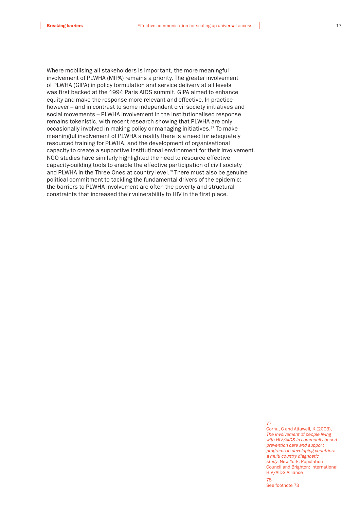Where mobilising all stakeholders is important, the more meaningful involvement of PLWHA (MIPA) remains a priority. The greater involvement of PLWHA (GIPA) in policy formulation and service delivery at all levels was first backed at the 1994 Paris AIDS summit. GIPA aimed to enhance equity and make the response more relevant and effective. In practice however – and in contrast to some independent civil society initiatives and social movements – PLWHA involvement in the institutionalised response remains tokenistic, with recent research showing that PLWHA are only occasionally involved in making policy or managing initiatives.<sup>77</sup> To make meaningful involvement of PLWHA a reality there is a need for adequately resourced training for PLWHA, and the development of organisational capacity to create a supportive institutional environment for their involvement. NGO studies have similarly highlighted the need to resource effective capacity-building tools to enable the effective participation of civil society and PLWHA in the Three Ones at country level.<sup>78</sup> There must also be genuine political commitment to tackling the fundamental drivers of the epidemic: the barriers to PLWHA involvement are often the poverty and structural constraints that increased their vulnerability to HIV in the first place.

77

Cornu, C and Attawell, K (2003) *The involvement of people living with HIV/AIDS in community-based prevention care and support programs in developing countries: a multi country diagnostic study*, New York: Population Council and Brighton: International HIV/AIDS Alliance

78 See footnote 73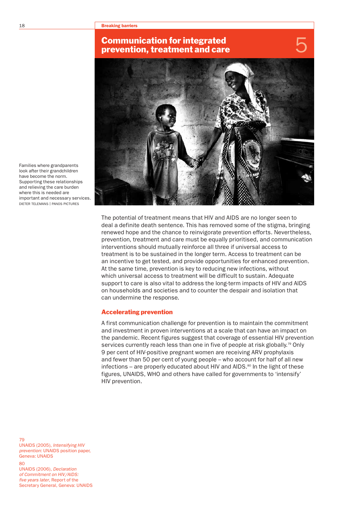#### 18 **Breaking barriers**

## Communication for integrated prevention, treatment and care



Families where grandparents look after their grandchildren have become the norm. Supporting these relationships and relieving the care burden where this is needed are important and necessary services. DIETER TELEMANS | PANOS PICTURES

> The potential of treatment means that HIV and AIDS are no longer seen to deal a definite death sentence. This has removed some of the stigma, bringing renewed hope and the chance to reinvigorate prevention efforts. Nevertheless, prevention, treatment and care must be equally prioritised, and communication interventions should mutually reinforce all three if universal access to treatment is to be sustained in the longer term. Access to treatment can be an incentive to get tested, and provide opportunities for enhanced prevention. At the same time, prevention is key to reducing new infections, without which universal access to treatment will be difficult to sustain. Adequate support to care is also vital to address the long-term impacts of HIV and AIDS on households and societies and to counter the despair and isolation that can undermine the response.

#### Accelerating prevention

A first communication challenge for prevention is to maintain the commitment and investment in proven interventions at a scale that can have an impact on the pandemic. Recent figures suggest that coverage of essential HIV prevention services currently reach less than one in five of people at risk globally.<sup>79</sup> Only 9 per cent of HIV-positive pregnant women are receiving ARV prophylaxis and fewer than 50 per cent of young people – who account for half of all new infections – are properly educated about HIV and AIDS. $80$  In the light of these figures, UNAIDS, WHO and others have called for governments to 'intensify' HIV prevention.

UNAIDS (2005), *Intensifying HIV prevention*: UNAIDS position paper, Geneva: UNAIDS  $80$ UNAIDS (2006), *Declaration of Commitment on HIV/AIDS: five years later*, Report of the Secretary General, Geneva: UNAIDS

79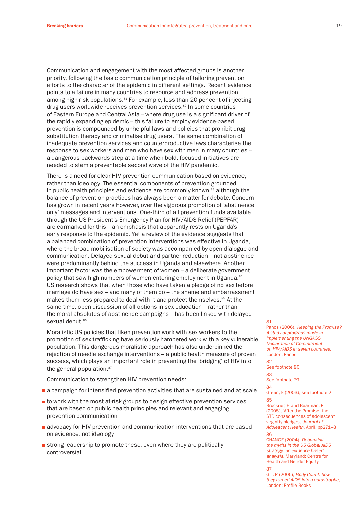Communication and engagement with the most affected groups is another priority, following the basic communication principle of tailoring prevention efforts to the character of the epidemic in different settings. Recent evidence points to a failure in many countries to resource and address prevention among high-risk populations.<sup>81</sup> For example, less than 20 per cent of injecting drug users worldwide receives prevention services.<sup>82</sup> In some countries of Eastern Europe and Central Asia – where drug use is a significant driver of the rapidly expanding epidemic – this failure to employ evidence-based prevention is compounded by unhelpful laws and policies that prohibit drug substitution therapy and criminalise drug users. The same combination of inadequate prevention services and counterproductive laws characterise the response to sex workers and men who have sex with men in many countries – a dangerous backwards step at a time when bold, focused initiatives are needed to stem a preventable second wave of the HIV pandemic.

There is a need for clear HIV prevention communication based on evidence, rather than ideology. The essential components of prevention grounded in public health principles and evidence are commonly known, $83$  although the balance of prevention practices has always been a matter for debate. Concern has grown in recent years however, over the vigorous promotion of 'abstinence only' messages and interventions. One-third of all prevention funds available through the US President's Emergency Plan for HIV/AIDS Relief (PEPFAR) are earmarked for this – an emphasis that apparently rests on Uganda's early response to the epidemic. Yet a review of the evidence suggests that a balanced combination of prevention interventions was effective in Uganda, where the broad mobilisation of society was accompanied by open dialogue and communication. Delayed sexual debut and partner reduction – not abstinence – were predominantly behind the success in Uganda and elsewhere. Another important factor was the empowerment of women – a deliberate government policy that saw high numbers of women entering employment in Uganda.<sup>84</sup> US research shows that when those who have taken a pledge of no sex before marriage do have sex – and many of them do – the shame and embarrassment makes them less prepared to deal with it and protect themselves.<sup>85</sup> At the same time, open discussion of all options in sex education – rather than the moral absolutes of abstinence campaigns – has been linked with delayed sexual debut.<sup>86</sup>

Moralistic US policies that liken prevention work with sex workers to the promotion of sex trafficking have seriously hampered work with a key vulnerable population. This dangerous moralistic approach has also underpinned the rejection of needle exchange interventions – a public health measure of proven success, which plays an important role in preventing the 'bridging' of HIV into the general population.<sup>87</sup>

Communication to strengthen HIV prevention needs:

- **a** a campaign for intensified prevention activities that are sustained and at scale
- **t** to work with the most at-risk groups to design effective prevention services that are based on public health principles and relevant and engaging prevention communication
- advocacy for HIV prevention and communication interventions that are based on evidence, not ideology
- $\blacksquare$  strong leadership to promote these, even where they are politically controversial.

#### 81

Panos (2006), *Keeping the Promise? A study of progress made in implementing the UNGASS Declaration of Commitment on HIV/AIDS in seven countries*, London: Panos

#### 82 See footnote 80

83

See footnote 79

84

Green, E (2003), see footnote 2 85

Bruckner, H and Bearman, P (2005), 'After the Promise: the STD consequences of adolescent virginity pledges,' *Journal of Adolescent Health*, April, pp271–8 86

CHANGE (2004), *Debunking the myths in the US Global AIDS strategy: an evidence based analysis*, Maryland: Centre for Health and Gender Equity

87 Gill, P (2006), *Body Count: how they turned AIDS into a catastrophe*, London: Profile Books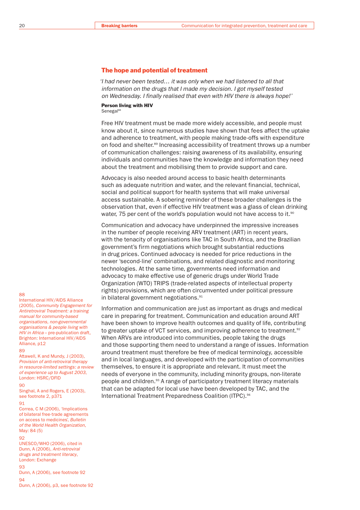#### The hope and potential of treatment

*'I had never been tested… it was only when we had listened to all that information on the drugs that I made my decision. I got myself tested on Wednesday. I finally realised that even with HIV there is always hope!'*

Person living with HIV Senegal<sup>88</sup>

Free HIV treatment must be made more widely accessible, and people must know about it, since numerous studies have shown that fees affect the uptake and adherence to treatment, with people making trade-offs with expenditure on food and shelter.<sup>89</sup> Increasing accessibility of treatment throws up a number of communication challenges: raising awareness of its availability, ensuring individuals and communities have the knowledge and information they need about the treatment and mobilising them to provide support and care.

Advocacy is also needed around access to basic health determinants such as adequate nutrition and water, and the relevant financial, technical, social and political support for health systems that will make universal access sustainable. A sobering reminder of these broader challenges is the observation that, even if effective HIV treatment was a glass of clean drinking water, 75 per cent of the world's population would not have access to it.<sup>90</sup>

Communication and advocacy have underpinned the impressive increases in the number of people receiving ARV treatment (ART) in recent years, with the tenacity of organisations like TAC in South Africa, and the Brazilian government's firm negotiations which brought substantial reductions in drug prices. Continued advocacy is needed for price reductions in the newer 'second-line' combinations, and related diagnostic and monitoring technologies. At the same time, governments need information and advocacy to make effective use of generic drugs under World Trade Organization (WTO) TRIPS (trade-related aspects of intellectual property rights) provisions, which are often circumvented under political pressure in bilateral government negotiations.<sup>91</sup>

Information and communication are just as important as drugs and medical care in preparing for treatment. Communication and education around ART have been shown to improve health outcomes and quality of life, contributing to greater uptake of VCT services, and improving adherence to treatment.<sup>92</sup> When ARVs are introduced into communities, people taking the drugs and those supporting them need to understand a range of issues. Information around treatment must therefore be free of medical terminology, accessible and in local languages, and developed with the participation of communities themselves, to ensure it is appropriate and relevant. It must meet the needs of everyone in the community, including minority groups, non-literate people and children.<sup>93</sup> A range of participatory treatment literacy materials that can be adapted for local use have been developed by TAC, and the International Treatment Preparedness Coalition (ITPC).<sup>94</sup>

#### 88

International HIV/AIDS Alliance (2005), *Community Engagement for Antiretroviral Treatment: a training manual for community-based organisations, non-governmental organisations & people living with HIV in Africa* – pre-publication draft, Brighton: International HIV/AIDS Alliance, p12

#### $89$

Attawell, K and Mundy, J (2003), *Provision of anti-retroviral therapy in resource-limited settings: a review of experience up to August 2003*, London: HSRC/DFID

#### 90

Singhal, A and Rogers, E (2003), see footnote 2, p371

#### **Q1**

Correa, C M (2006), 'Implications of bilateral free-trade agreements on access to medicines', *Bulletin of the World Health Organization*, May: 84 (5)

#### $92$

UNESCO/WHO (2006), cited in Dunn, A (2006), *Anti-retroviral drugs and treatment literacy*, London: Exchange

#### 93

Dunn, A (2006), see footnote 92  $Q_{\mathcal{A}}$ Dunn, A (2006), p3, see footnote 92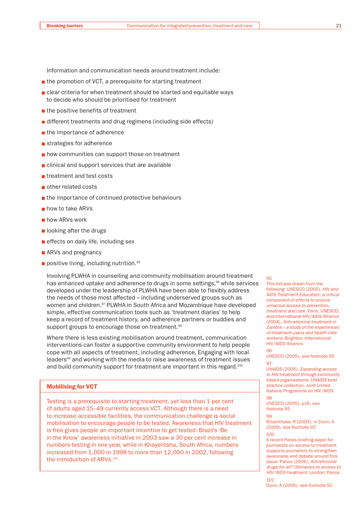Information and communication needs around treatment include:

- $\blacksquare$  the promotion of VCT, a prerequisite for starting treatment
- clear criteria for when treatment should be started and equitable ways to decide who should be prioritised for treatment
- $\blacksquare$  the positive benefits of treatment
- different treatments and drug regimens (including side effects)
- $\blacksquare$  the importance of adherence
- strategies for adherence
- **how communities can support those on treatment**
- clinical and support services that are available
- treatment and test costs
- other related costs
- $\blacksquare$  the importance of continued protective behaviours
- **how to take ARVs**
- **how ARVs work**
- $\blacksquare$  looking after the drugs
- $\blacksquare$  effects on daily life, including sex
- **ARVs and pregnancy**
- positive living, including nutrition.  $95$

Involving PLWHA in counselling and community mobilisation around treatment has enhanced uptake and adherence to drugs in some settings,<sup>96</sup> while services developed under the leadership of PLWHA have been able to flexibly address the needs of those most affected – including underserved groups such as women and children.<sup>97</sup> PLWHA in South Africa and Mozambique have developed simple, effective communication tools such as 'treatment diaries' to help keep a record of treatment history, and adherence partners or buddies and support groups to encourage those on treatment.<sup>98</sup>

Where there is less existing mobilisation around treatment, communication interventions can foster a supportive community environment to help people cope with all aspects of treatment, including adherence. Engaging with local leaders<sup>99</sup> and working with the media to raise awareness of treatment issues and build community support for treatment are important in this regard.<sup>100</sup>

#### Mobilising for VCT

Testing is a prerequisite to starting treatment, yet less than 1 per cent of adults aged 15–49 currently access VCT. Although there is a need to increase accessible facilities, the communication challenge is social mobilisation to encourage people to be tested. Awareness that HIV treatment is free gives people an important incentive to get tested: Brazil's 'Be in the Know' awareness initiative in 2003 saw a 30 per cent increase in numbers testing in one year, while in Khayelitsha, South Africa, numbers increased from 1,000 in 1998 to more than 12,000 in 2002, following the introduction of ARVs.<sup>101</sup>

#### $QF$

96

98

101

This list was drawn from the following: UNESCO (2005), *HIV and AIDS Treatment Education: a critical component of efforts to ensure universal access to prevention, treatment and care*, Paris: UNESCO; and International HIV/AIDS Alliance (2004), *Anti-retroviral treatment in Zambia – a study of the experiences of treatment users and health care workers*, Brighton: International HIV/AIDS Alliance

UNESCO (2005), see footnote 95 97

UNAIDS (2005), *Expanding access to HIV treatment through community based organisations: UNAIDS best practice collection*, Joint United Nations Programme on HIV/AIDS

UNESCO (2005), p16, see footnote 95

**99** 

Ritzenthaler, R (2005), in Dunn, A (2006), see footnote 92 100

A recent Panos briefing paper for journalists on access to treatment supports journalists to strengthen awareness and debate around this issue: Panos (2006), *Antiretroviral drugs for all? Obstacles to access to HIV/AIDS treatment*, London: Panos

Dunn, A (2006), see footnote 92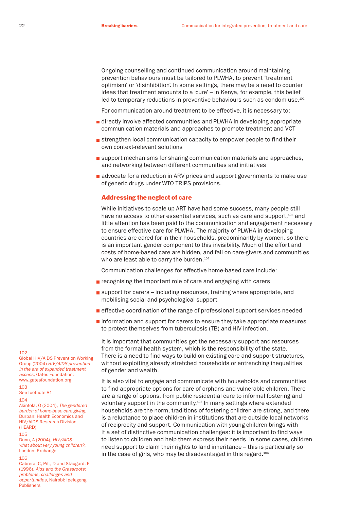Ongoing counselling and continued communication around maintaining prevention behaviours must be tailored to PLWHA, to prevent 'treatment optimism' or 'disinhibition'. In some settings, there may be a need to counter ideas that treatment amounts to a 'cure' – in Kenya, for example, this belief led to temporary reductions in preventive behaviours such as condom use.<sup>102</sup>

For communication around treatment to be effective, it is necessary to:

- **directly involve affected communities and PLWHA in developing appropriate** communication materials and approaches to promote treatment and VCT
- $\blacksquare$  strengthen local communication capacity to empower people to find their own context-relevant solutions
- **support mechanisms for sharing communication materials and approaches,** and networking between different communities and initiatives
- **a** advocate for a reduction in ARV prices and support governments to make use of generic drugs under WTO TRIPS provisions.

#### Addressing the neglect of care

While initiatives to scale up ART have had some success, many people still have no access to other essential services, such as care and support,<sup>103</sup> and little attention has been paid to the communication and engagement necessary to ensure effective care for PLWHA. The majority of PLWHA in developing countries are cared for in their households, predominantly by women, so there is an important gender component to this invisibility. Much of the effort and costs of home-based care are hidden, and fall on care-givers and communities who are least able to carry the burden.<sup>104</sup>

Communication challenges for effective home-based care include:

- **recognising the important role of care and engaging with carers**
- $\blacksquare$  support for carers including resources, training where appropriate, and mobilising social and psychological support
- **EXTERCTER EXTERNATION** of the range of professional support services needed
- $\blacksquare$  information and support for carers to ensure they take appropriate measures to protect themselves from tuberculosis (TB) and HIV infection.

It is important that communities get the necessary support and resources from the formal health system, which is the responsibility of the state. There is a need to find ways to build on existing care and support structures, without exploiting already stretched households or entrenching inequalities of gender and wealth.

It is also vital to engage and communicate with households and communities to find appropriate options for care of orphans and vulnerable children. There are a range of options, from public residential care to informal fostering and voluntary support in the community.105 In many settings where extended households are the norm, traditions of fostering children are strong, and there is a reluctance to place children in institutions that are outside local networks of reciprocity and support. Communication with young children brings with it a set of distinctive communication challenges: it is important to find ways to listen to children and help them express their needs. In some cases, children need support to claim their rights to land inheritance – this is particularly so in the case of girls, who may be disadvantaged in this regard.<sup>106</sup>

#### 102

Global HIV/AIDS Prevention Working Group (2004) *HIV/AIDS prevention in the era of expanded treatment access,* Gates Foundation: www.gatesfoundation.org

103 See footnote 81

#### $104$

Akintola, O (2004), *The gendered burden of home-base care giving*, Durban: Health Economics and HIV/AIDS Research Division (HEARD)

#### 105

Dunn, A (2004), *HIV/AIDS: what about very young children?*, London: Exchange

#### 106

Cabrera, C, Pitt, D and Staugard, F (1996), *Aids and the Grassroots: problems, challenges and opportunities*, Nairobi: Ipelegeng Publishers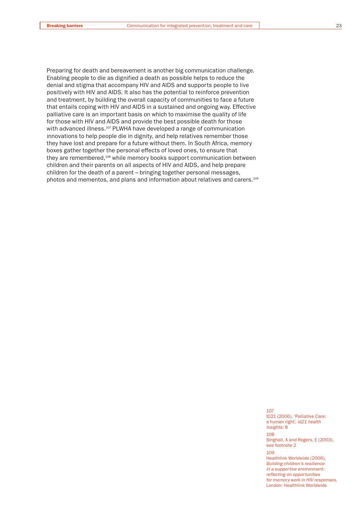Preparing for death and bereavement is another big communication challenge. Enabling people to die as dignified a death as possible helps to reduce the denial and stigma that accompany HIV and AIDS and supports people to live positively with HIV and AIDS. It also has the potential to reinforce prevention and treatment, by building the overall capacity of communities to face a future that entails coping with HIV and AIDS in a sustained and ongoing way. Effective palliative care is an important basis on which to maximise the quality of life for those with HIV and AIDS and provide the best possible death for those with advanced illness.<sup>107</sup> PLWHA have developed a range of communication innovations to help people die in dignity, and help relatives remember those they have lost and prepare for a future without them. In South Africa, memory boxes gather together the personal effects of loved ones, to ensure that they are remembered,<sup>108</sup> while memory books support communication between children and their parents on all aspects of HIV and AIDS, and help prepare children for the death of a parent – bringing together personal messages, photos and mementos, and plans and information about relatives and carers.<sup>109</sup>

> 107 ID21 (2006), 'Palliative Care: a human right', *id21 health insights:* 8 108 Singhall, A and Rogers, E (2003), see footnote 2  $109$ Healthlink Worldwide (2006), *Building children's resilience in a supportive environment: reflecting on opportunities for memory work in HIV responses*,

London: Healthlink Worldwide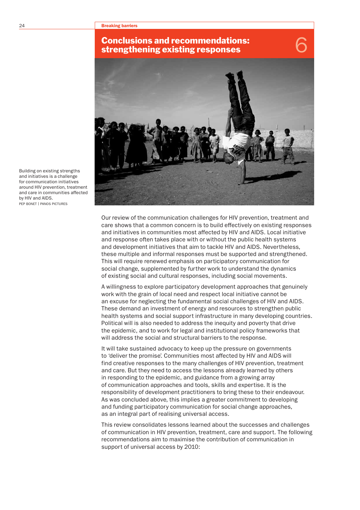

Our review of the communication challenges for HIV prevention, treatment and care shows that a common concern is to build effectively on existing responses and initiatives in communities most affected by HIV and AIDS. Local initiative and response often takes place with or without the public health systems and development initiatives that aim to tackle HIV and AIDS. Nevertheless, these multiple and informal responses must be supported and strengthened. This will require renewed emphasis on participatory communication for social change, supplemented by further work to understand the dynamics of existing social and cultural responses, including social movements.

A willingness to explore participatory development approaches that genuinely work with the grain of local need and respect local initiative cannot be an excuse for neglecting the fundamental social challenges of HIV and AIDS. These demand an investment of energy and resources to strengthen public health systems and social support infrastructure in many developing countries. Political will is also needed to address the inequity and poverty that drive the epidemic, and to work for legal and institutional policy frameworks that will address the social and structural barriers to the response.

It will take sustained advocacy to keep up the pressure on governments to 'deliver the promise'. Communities most affected by HIV and AIDS will find creative responses to the many challenges of HIV prevention, treatment and care. But they need to access the lessons already learned by others in responding to the epidemic, and guidance from a growing array of communication approaches and tools, skills and expertise. It is the responsibility of development practitioners to bring these to their endeavour. As was concluded above, this implies a greater commitment to developing and funding participatory communication for social change approaches, as an integral part of realising universal access.

This review consolidates lessons learned about the successes and challenges of communication in HIV prevention, treatment, care and support. The following recommendations aim to maximise the contribution of communication in support of universal access by 2010:

Building on existing strengths and initiatives is a challenge for communication initiatives around HIV prevention, treatment and care in communities affected by HIV and AIDS. PEP BONET | PANOS PICTURES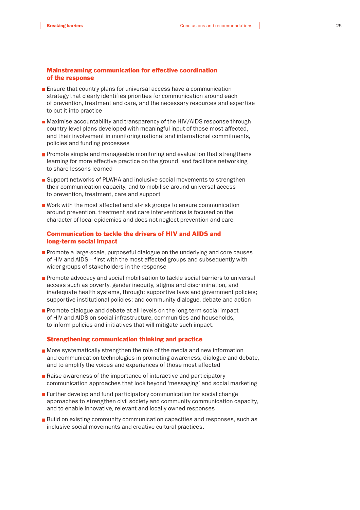#### Mainstreaming communication for effective coordination of the response

- **Ensure that country plans for universal access have a communication** strategy that clearly identifies priorities for communication around each of prevention, treatment and care, and the necessary resources and expertise to put it into practice
- Maximise accountability and transparency of the HIV/AIDS response through country-level plans developed with meaningful input of those most affected, and their involvement in monitoring national and international commitments, policies and funding processes
- **Promote simple and manageable monitoring and evaluation that strengthens** learning for more effective practice on the ground, and facilitate networking to share lessons learned
- Support networks of PLWHA and inclusive social movements to strengthen their communication capacity, and to mobilise around universal access to prevention, treatment, care and support
- Work with the most affected and at-risk groups to ensure communication around prevention, treatment and care interventions is focused on the character of local epidemics and does not neglect prevention and care.

### Communication to tackle the drivers of HIV and AIDS and long-term social impact

- **Promote a large-scale, purposeful dialogue on the underlying and core causes** of HIV and AIDS – first with the most affected groups and subsequently with wider groups of stakeholders in the response
- Promote advocacy and social mobilisation to tackle social barriers to universal access such as poverty, gender inequity, stigma and discrimination, and inadequate health systems, through: supportive laws and government policies; supportive institutional policies; and community dialogue, debate and action
- **Promote dialogue and debate at all levels on the long-term social impact** of HIV and AIDS on social infrastructure, communities and households, to inform policies and initiatives that will mitigate such impact.

#### Strengthening communication thinking and practice

- **Nore systematically strengthen the role of the media and new information** and communication technologies in promoting awareness, dialogue and debate, and to amplify the voices and experiences of those most affected
- Raise awareness of the importance of interactive and participatory communication approaches that look beyond 'messaging' and social marketing
- **Further develop and fund participatory communication for social change** approaches to strengthen civil society and community communication capacity, and to enable innovative, relevant and locally owned responses
- **Build on existing community communication capacities and responses, such as** inclusive social movements and creative cultural practices.